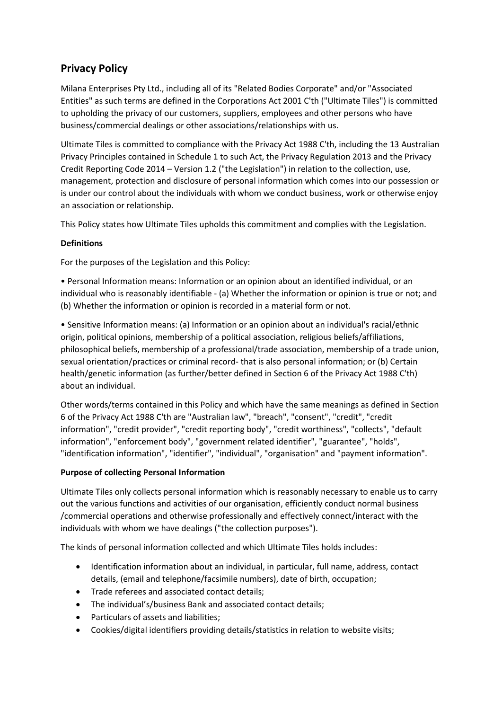# **Privacy Policy**

Milana Enterprises Pty Ltd., including all of its "Related Bodies Corporate" and/or "Associated Entities" as such terms are defined in the Corporations Act 2001 C'th ("Ultimate Tiles") is committed to upholding the privacy of our customers, suppliers, employees and other persons who have business/commercial dealings or other associations/relationships with us.

Ultimate Tiles is committed to compliance with the Privacy Act 1988 C'th, including the 13 Australian Privacy Principles contained in Schedule 1 to such Act, the Privacy Regulation 2013 and the Privacy Credit Reporting Code 2014 – Version 1.2 ("the Legislation") in relation to the collection, use, management, protection and disclosure of personal information which comes into our possession or is under our control about the individuals with whom we conduct business, work or otherwise enjoy an association or relationship.

This Policy states how Ultimate Tiles upholds this commitment and complies with the Legislation.

### **Definitions**

For the purposes of the Legislation and this Policy:

• Personal Information means: Information or an opinion about an identified individual, or an individual who is reasonably identifiable - (a) Whether the information or opinion is true or not; and (b) Whether the information or opinion is recorded in a material form or not.

• Sensitive Information means: (a) Information or an opinion about an individual's racial/ethnic origin, political opinions, membership of a political association, religious beliefs/affiliations, philosophical beliefs, membership of a professional/trade association, membership of a trade union, sexual orientation/practices or criminal record- that is also personal information; or (b) Certain health/genetic information (as further/better defined in Section 6 of the Privacy Act 1988 C'th) about an individual.

Other words/terms contained in this Policy and which have the same meanings as defined in Section 6 of the Privacy Act 1988 C'th are "Australian law", "breach", "consent", "credit", "credit information", "credit provider", "credit reporting body", "credit worthiness", "collects", "default information", "enforcement body", "government related identifier", "guarantee", "holds", "identification information", "identifier", "individual", "organisation" and "payment information".

# **Purpose of collecting Personal Information**

Ultimate Tiles only collects personal information which is reasonably necessary to enable us to carry out the various functions and activities of our organisation, efficiently conduct normal business /commercial operations and otherwise professionally and effectively connect/interact with the individuals with whom we have dealings ("the collection purposes").

The kinds of personal information collected and which Ultimate Tiles holds includes:

- Identification information about an individual, in particular, full name, address, contact details, (email and telephone/facsimile numbers), date of birth, occupation;
- Trade referees and associated contact details;
- The individual's/business Bank and associated contact details;
- Particulars of assets and liabilities;
- Cookies/digital identifiers providing details/statistics in relation to website visits;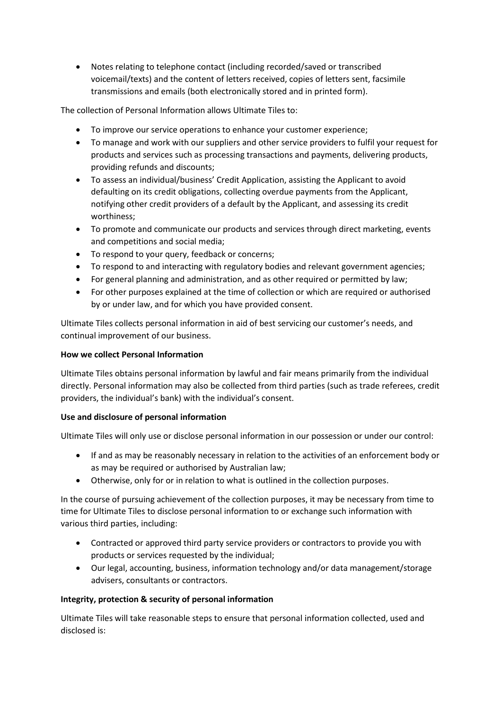• Notes relating to telephone contact (including recorded/saved or transcribed voicemail/texts) and the content of letters received, copies of letters sent, facsimile transmissions and emails (both electronically stored and in printed form).

The collection of Personal Information allows Ultimate Tiles to:

- To improve our service operations to enhance your customer experience;
- To manage and work with our suppliers and other service providers to fulfil your request for products and services such as processing transactions and payments, delivering products, providing refunds and discounts;
- To assess an individual/business' Credit Application, assisting the Applicant to avoid defaulting on its credit obligations, collecting overdue payments from the Applicant, notifying other credit providers of a default by the Applicant, and assessing its credit worthiness;
- To promote and communicate our products and services through direct marketing, events and competitions and social media;
- To respond to your query, feedback or concerns;
- To respond to and interacting with regulatory bodies and relevant government agencies;
- For general planning and administration, and as other required or permitted by law;
- For other purposes explained at the time of collection or which are required or authorised by or under law, and for which you have provided consent.

Ultimate Tiles collects personal information in aid of best servicing our customer's needs, and continual improvement of our business.

## **How we collect Personal Information**

Ultimate Tiles obtains personal information by lawful and fair means primarily from the individual directly. Personal information may also be collected from third parties (such as trade referees, credit providers, the individual's bank) with the individual's consent.

# **Use and disclosure of personal information**

Ultimate Tiles will only use or disclose personal information in our possession or under our control:

- If and as may be reasonably necessary in relation to the activities of an enforcement body or as may be required or authorised by Australian law;
- Otherwise, only for or in relation to what is outlined in the collection purposes.

In the course of pursuing achievement of the collection purposes, it may be necessary from time to time for Ultimate Tiles to disclose personal information to or exchange such information with various third parties, including:

- Contracted or approved third party service providers or contractors to provide you with products or services requested by the individual;
- Our legal, accounting, business, information technology and/or data management/storage advisers, consultants or contractors.

# **Integrity, protection & security of personal information**

Ultimate Tiles will take reasonable steps to ensure that personal information collected, used and disclosed is: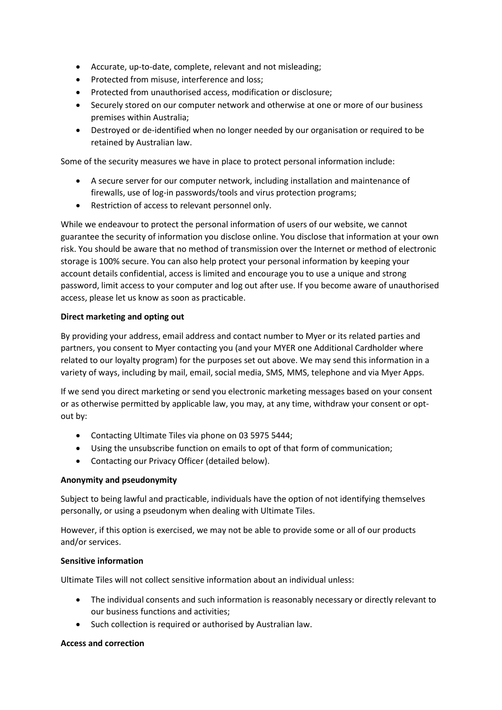- Accurate, up-to-date, complete, relevant and not misleading;
- Protected from misuse, interference and loss;
- Protected from unauthorised access, modification or disclosure;
- Securely stored on our computer network and otherwise at one or more of our business premises within Australia;
- Destroyed or de-identified when no longer needed by our organisation or required to be retained by Australian law.

Some of the security measures we have in place to protect personal information include:

- A secure server for our computer network, including installation and maintenance of firewalls, use of log-in passwords/tools and virus protection programs;
- Restriction of access to relevant personnel only.

While we endeavour to protect the personal information of users of our website, we cannot guarantee the security of information you disclose online. You disclose that information at your own risk. You should be aware that no method of transmission over the Internet or method of electronic storage is 100% secure. You can also help protect your personal information by keeping your account details confidential, access is limited and encourage you to use a unique and strong password, limit access to your computer and log out after use. If you become aware of unauthorised access, please let us know as soon as practicable.

#### **Direct marketing and opting out**

By providing your address, email address and contact number to Myer or its related parties and partners, you consent to Myer contacting you (and your MYER one Additional Cardholder where related to our loyalty program) for the purposes set out above. We may send this information in a variety of ways, including by mail, email, social media, SMS, MMS, telephone and via Myer Apps.

If we send you direct marketing or send you electronic marketing messages based on your consent or as otherwise permitted by applicable law, you may, at any time, withdraw your consent or optout by:

- Contacting Ultimate Tiles via phone on 03 5975 5444;
- Using the unsubscribe function on emails to opt of that form of communication;
- Contacting our Privacy Officer (detailed below).

#### **Anonymity and pseudonymity**

Subject to being lawful and practicable, individuals have the option of not identifying themselves personally, or using a pseudonym when dealing with Ultimate Tiles.

However, if this option is exercised, we may not be able to provide some or all of our products and/or services.

#### **Sensitive information**

Ultimate Tiles will not collect sensitive information about an individual unless:

- The individual consents and such information is reasonably necessary or directly relevant to our business functions and activities;
- Such collection is required or authorised by Australian law.

#### **Access and correction**